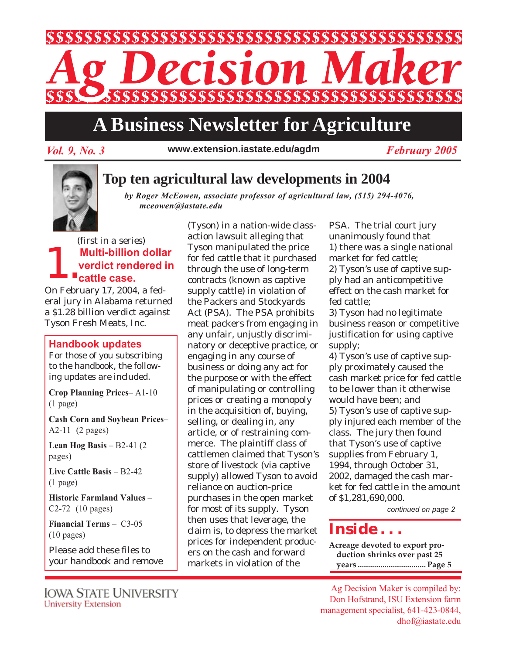

# **A Business Newsletter for Agriculture**

*Vol. 9, No. 3 February 2005* **www.extension.iastate.edu/agdm**

## **Top ten agricultural law developments in 2004**

*by Roger McEowen, associate professor of agricultural law, (515) 294-4076, mceowen@iastate.edu*

**1.** Multi-billion dollar<br>verdict rendered in<br>cattle case. **verdict rendered in cattle case.** *(first in a series)*

On February 17, 2004, a federal jury in Alabama returned a \$1.28 billion verdict against Tyson Fresh Meats, Inc.

#### **Handbook updates**

For those of you subscribing to the handbook, the following updates are included.

**Crop Planning Prices**– A1-10 (1 page)

**Cash Corn and Soybean Prices**– A2-11 (2 pages)

**Lean Hog Basis** – B2-41 (2 pages)

**Live Cattle Basis** – B2-42 (1 page)

**Historic Farmland Values** – C2-72 (10 pages)

**Financial Terms** – C3-05 (10 pages)

Please add these files to your handbook and remove

Iowa State University **University Extension** 

(Tyson) in a nation-wide classaction lawsuit alleging that Tyson manipulated the price for fed cattle that it purchased through the use of long-term contracts (known as captive supply cattle) in violation of the Packers and Stockyards Act (PSA). The PSA prohibits meat packers from engaging in any unfair, unjustly discriminatory or deceptive practice, or engaging in any course of business or doing any act for the purpose or with the effect of manipulating or controlling prices or creating a monopoly in the acquisition of, buying, selling, or dealing in, any article, or of restraining commerce. The plaintiff class of cattlemen claimed that Tyson's store of livestock (via captive supply) allowed Tyson to avoid reliance on auction-price purchases in the open market for most of its supply. Tyson then uses that leverage, the claim is, to depress the market prices for independent producers on the cash and forward markets in violation of the

PSA. The trial court jury unanimously found that 1) there was a single national market for fed cattle; 2) Tyson's use of captive supply had an anticompetitive effect on the cash market for fed cattle;

3) Tyson had no legitimate business reason or competitive justification for using captive supply;

4) Tyson's use of captive supply proximately caused the cash market price for fed cattle to be lower than it otherwise would have been; and 5) Tyson's use of captive supply injured each member of the class. The jury then found that Tyson's use of captive supplies from February 1, 1994, through October 31, 2002, damaged the cash market for fed cattle in the amount of \$1,281,690,000.

*continued on page 2*

# *Inside . . .*

**Acreage devoted to export production shrinks over past 25 years ................................. Page 5**

Ag Decision Maker is compiled by: Don Hofstrand, ISU Extension farm management specialist, 641-423-0844, dhof@iastate.edu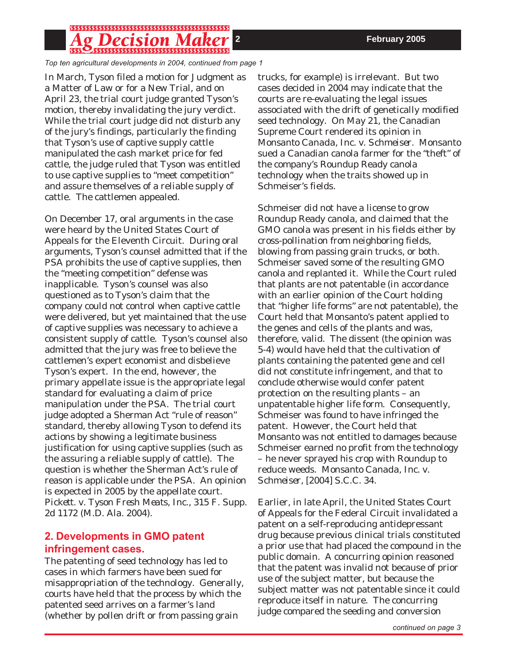## g Decision I

*Top ten agricultural developments in 2004, continued from page 1*

In March, Tyson filed a motion for Judgment as a Matter of Law or for a New Trial, and on April 23, the trial court judge granted Tyson's motion, thereby invalidating the jury verdict. While the trial court judge did not disturb any of the jury's findings, particularly the finding that Tyson's use of captive supply cattle manipulated the cash market price for fed cattle, the judge ruled that Tyson was entitled to use captive supplies to "meet competition" and assure themselves of a reliable supply of cattle. The cattlemen appealed.

On December 17, oral arguments in the case were heard by the United States Court of Appeals for the Eleventh Circuit. During oral arguments, Tyson's counsel admitted that if the PSA prohibits the use of captive supplies, then the "meeting competition" defense was inapplicable. Tyson's counsel was also questioned as to Tyson's claim that the company could not control when captive cattle were delivered, but yet maintained that the use of captive supplies was necessary to achieve a consistent supply of cattle. Tyson's counsel also admitted that the jury was free to believe the cattlemen's expert economist and disbelieve Tyson's expert. In the end, however, the primary appellate issue is the appropriate legal standard for evaluating a claim of price manipulation under the PSA. The trial court judge adopted a Sherman Act "rule of reason" standard, thereby allowing Tyson to defend its actions by showing a legitimate business justification for using captive supplies (such as the assuring a reliable supply of cattle). The question is whether the Sherman Act's rule of reason is applicable under the PSA. An opinion is expected in 2005 by the appellate court. *Pickett. v. Tyson Fresh Meats, Inc.,* 315 F. Supp. 2d 1172 (M.D. Ala. 2004).

#### **2. Developments in GMO patent infringement cases.**

The patenting of seed technology has led to cases in which farmers have been sued for misappropriation of the technology. Generally, courts have held that the process by which the patented seed arrives on a farmer's land (whether by pollen drift or from passing grain

trucks, for example) is irrelevant. But two cases decided in 2004 may indicate that the courts are re-evaluating the legal issues associated with the drift of genetically modified seed technology. On May 21, the Canadian Supreme Court rendered its opinion in *Monsanto Canada, Inc. v. Schmeiser.* Monsanto sued a Canadian canola farmer for the "theft" of the company's Roundup Ready canola technology when the traits showed up in Schmeiser's fields.

Schmeiser did not have a license to grow Roundup Ready canola, and claimed that the GMO canola was present in his fields either by cross-pollination from neighboring fields, blowing from passing grain trucks, or both. Schmeiser saved some of the resulting GMO canola and replanted it. While the Court ruled that plants are not patentable (in accordance with an earlier opinion of the Court holding that "higher life forms" are not patentable), the Court held that Monsanto's patent applied to the genes and cells of the plants and was, therefore, valid. The dissent (the opinion was 5-4) would have held that the cultivation of plants containing the patented gene and cell did not constitute infringement, and that to conclude otherwise would confer patent protection on the resulting plants – an unpatentable higher life form. Consequently, Schmeiser was found to have infringed the patent. However, the Court held that Monsanto was not entitled to damages because Schmeiser earned no profit from the technology – he never sprayed his crop with Roundup to reduce weeds. *Monsanto Canada, Inc. v. Schmeiser,* [2004] S.C.C. 34.

Earlier, in late April, the United States Court of Appeals for the Federal Circuit invalidated a patent on a self-reproducing antidepressant drug because previous clinical trials constituted a prior use that had placed the compound in the public domain. A concurring opinion reasoned that the patent was invalid not because of prior use of the subject matter, but because the subject matter was not patentable since it could reproduce itself in nature. The concurring judge compared the seeding and conversion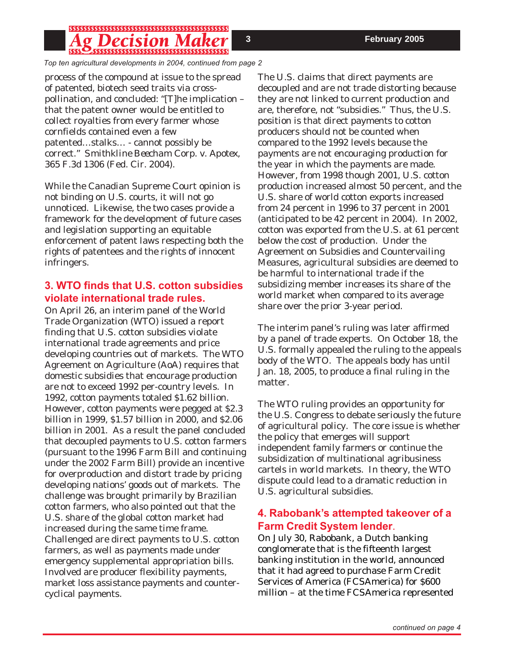#### *ecision |*

*Top ten agricultural developments in 2004, continued from page 2*

process of the compound at issue to the spread of patented, biotech seed traits via crosspollination, and concluded: "[T]he implication – that the patent owner would be entitled to collect royalties from every farmer whose cornfields contained even a few patented…stalks… - cannot possibly be correct." *Smithkline Beecham Corp. v. Apotex,* 365 F.3d 1306 (Fed. Cir. 2004).

While the Canadian Supreme Court opinion is not binding on U.S. courts, it will not go unnoticed. Likewise, the two cases provide a framework for the development of future cases and legislation supporting an equitable enforcement of patent laws respecting both the rights of patentees and the rights of innocent infringers.

### **3. WTO finds that U.S. cotton subsidies violate international trade rules.**

On April 26, an interim panel of the World Trade Organization (WTO) issued a report finding that U.S. cotton subsidies violate international trade agreements and price developing countries out of markets. The WTO Agreement on Agriculture (AoA) requires that domestic subsidies that encourage production are not to exceed 1992 per-country levels. In 1992, cotton payments totaled \$1.62 billion. However, cotton payments were pegged at \$2.3 billion in 1999, \$1.57 billion in 2000, and \$2.06 billion in 2001. As a result the panel concluded that decoupled payments to U.S. cotton farmers (pursuant to the 1996 Farm Bill and continuing under the 2002 Farm Bill) provide an incentive for overproduction and distort trade by pricing developing nations' goods out of markets. The challenge was brought primarily by Brazilian cotton farmers, who also pointed out that the U.S. share of the global cotton market had increased during the same time frame. Challenged are direct payments to U.S. cotton farmers, as well as payments made under emergency supplemental appropriation bills. Involved are producer flexibility payments, market loss assistance payments and countercyclical payments.

The U.S. claims that direct payments are decoupled and are not trade distorting because they are not linked to current production and are, therefore, not "subsidies." Thus, the U.S. position is that direct payments to cotton producers should not be counted when compared to the 1992 levels because the payments are not encouraging production for the year in which the payments are made. However, from 1998 though 2001, U.S. cotton production increased almost 50 percent, and the U.S. share of world cotton exports increased from 24 percent in 1996 to 37 percent in 2001 (anticipated to be 42 percent in 2004). In 2002, cotton was exported from the U.S. at 61 percent below the cost of production. Under the Agreement on Subsidies and Countervailing Measures, agricultural subsidies are deemed to be harmful to international trade if the subsidizing member increases its share of the world market when compared to its average share over the prior 3-year period.

The interim panel's ruling was later affirmed by a panel of trade experts. On October 18, the U.S. formally appealed the ruling to the appeals body of the WTO. The appeals body has until Jan. 18, 2005, to produce a final ruling in the matter.

The WTO ruling provides an opportunity for the U.S. Congress to debate seriously the future of agricultural policy. The core issue is whether the policy that emerges will support independent family farmers or continue the subsidization of multinational agribusiness cartels in world markets. In theory, the WTO dispute could lead to a dramatic reduction in U.S. agricultural subsidies.

### **4. Rabobank's attempted takeover of a Farm Credit System lender**.

On July 30, Rabobank, a Dutch banking conglomerate that is the fifteenth largest banking institution in the world, announced that it had agreed to purchase Farm Credit Services of America (FCSAmerica) for \$600 million – at the time FCSAmerica represented